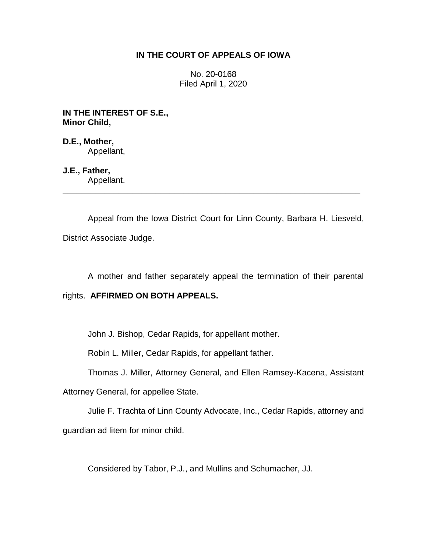## **IN THE COURT OF APPEALS OF IOWA**

No. 20-0168 Filed April 1, 2020

**IN THE INTEREST OF S.E., Minor Child,**

**D.E., Mother,** Appellant,

**J.E., Father,** Appellant.

Appeal from the Iowa District Court for Linn County, Barbara H. Liesveld, District Associate Judge.

\_\_\_\_\_\_\_\_\_\_\_\_\_\_\_\_\_\_\_\_\_\_\_\_\_\_\_\_\_\_\_\_\_\_\_\_\_\_\_\_\_\_\_\_\_\_\_\_\_\_\_\_\_\_\_\_\_\_\_\_\_\_\_\_

A mother and father separately appeal the termination of their parental

# rights. **AFFIRMED ON BOTH APPEALS.**

John J. Bishop, Cedar Rapids, for appellant mother.

Robin L. Miller, Cedar Rapids, for appellant father.

Thomas J. Miller, Attorney General, and Ellen Ramsey-Kacena, Assistant

Attorney General, for appellee State.

Julie F. Trachta of Linn County Advocate, Inc., Cedar Rapids, attorney and guardian ad litem for minor child.

Considered by Tabor, P.J., and Mullins and Schumacher, JJ.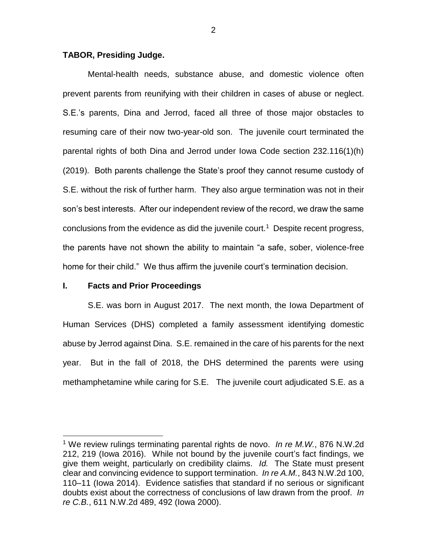### **TABOR, Presiding Judge.**

Mental-health needs, substance abuse, and domestic violence often prevent parents from reunifying with their children in cases of abuse or neglect. S.E.'s parents, Dina and Jerrod, faced all three of those major obstacles to resuming care of their now two-year-old son. The juvenile court terminated the parental rights of both Dina and Jerrod under Iowa Code section 232.116(1)(h) (2019). Both parents challenge the State's proof they cannot resume custody of S.E. without the risk of further harm. They also argue termination was not in their son's best interests. After our independent review of the record, we draw the same conclusions from the evidence as did the juvenile court.<sup>1</sup> Despite recent progress, the parents have not shown the ability to maintain "a safe, sober, violence-free home for their child." We thus affirm the juvenile court's termination decision.

## **I. Facts and Prior Proceedings**

 $\overline{a}$ 

S.E. was born in August 2017. The next month, the Iowa Department of Human Services (DHS) completed a family assessment identifying domestic abuse by Jerrod against Dina. S.E. remained in the care of his parents for the next year. But in the fall of 2018, the DHS determined the parents were using methamphetamine while caring for S.E. The juvenile court adjudicated S.E. as a

<sup>1</sup> We review rulings terminating parental rights de novo. *In re M.W.*, 876 N.W.2d 212, 219 (Iowa 2016). While not bound by the juvenile court's fact findings, we give them weight, particularly on credibility claims. *Id.* The State must present clear and convincing evidence to support termination. *In re A.M.*, 843 N.W.2d 100, 110–11 (Iowa 2014). Evidence satisfies that standard if no serious or significant doubts exist about the correctness of conclusions of law drawn from the proof. *In re C.B.*, 611 N.W.2d 489, 492 (Iowa 2000).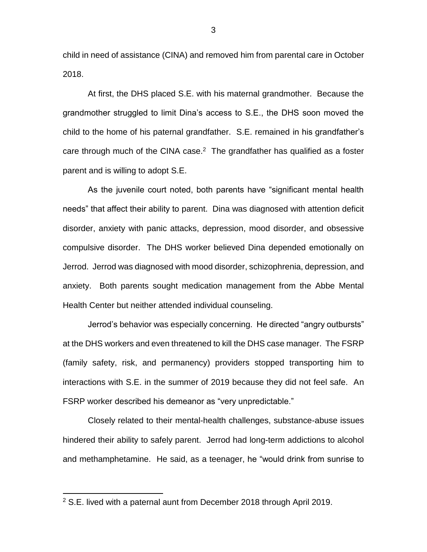child in need of assistance (CINA) and removed him from parental care in October 2018.

At first, the DHS placed S.E. with his maternal grandmother. Because the grandmother struggled to limit Dina's access to S.E., the DHS soon moved the child to the home of his paternal grandfather. S.E. remained in his grandfather's care through much of the CINA case. $2$  The grandfather has qualified as a foster parent and is willing to adopt S.E.

As the juvenile court noted, both parents have "significant mental health needs" that affect their ability to parent. Dina was diagnosed with attention deficit disorder, anxiety with panic attacks, depression, mood disorder, and obsessive compulsive disorder. The DHS worker believed Dina depended emotionally on Jerrod. Jerrod was diagnosed with mood disorder, schizophrenia, depression, and anxiety. Both parents sought medication management from the Abbe Mental Health Center but neither attended individual counseling.

Jerrod's behavior was especially concerning. He directed "angry outbursts" at the DHS workers and even threatened to kill the DHS case manager. The FSRP (family safety, risk, and permanency) providers stopped transporting him to interactions with S.E. in the summer of 2019 because they did not feel safe. An FSRP worker described his demeanor as "very unpredictable."

Closely related to their mental-health challenges, substance-abuse issues hindered their ability to safely parent. Jerrod had long-term addictions to alcohol and methamphetamine. He said, as a teenager, he "would drink from sunrise to

 $\overline{a}$ 

3

<sup>2</sup> S.E. lived with a paternal aunt from December 2018 through April 2019.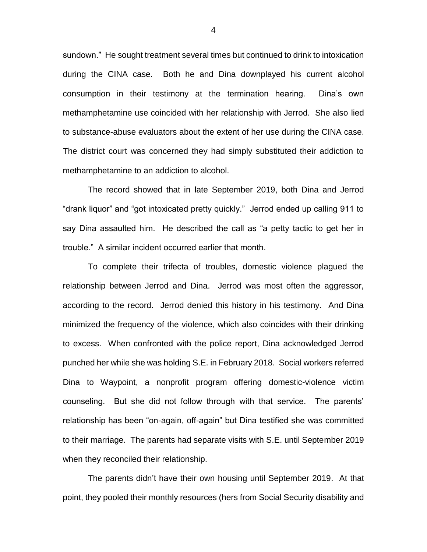sundown." He sought treatment several times but continued to drink to intoxication during the CINA case. Both he and Dina downplayed his current alcohol consumption in their testimony at the termination hearing. Dina's own methamphetamine use coincided with her relationship with Jerrod. She also lied to substance-abuse evaluators about the extent of her use during the CINA case. The district court was concerned they had simply substituted their addiction to methamphetamine to an addiction to alcohol.

The record showed that in late September 2019, both Dina and Jerrod "drank liquor" and "got intoxicated pretty quickly." Jerrod ended up calling 911 to say Dina assaulted him. He described the call as "a petty tactic to get her in trouble." A similar incident occurred earlier that month.

To complete their trifecta of troubles, domestic violence plagued the relationship between Jerrod and Dina. Jerrod was most often the aggressor, according to the record. Jerrod denied this history in his testimony. And Dina minimized the frequency of the violence, which also coincides with their drinking to excess. When confronted with the police report, Dina acknowledged Jerrod punched her while she was holding S.E. in February 2018. Social workers referred Dina to Waypoint, a nonprofit program offering domestic-violence victim counseling. But she did not follow through with that service. The parents' relationship has been "on-again, off-again" but Dina testified she was committed to their marriage. The parents had separate visits with S.E. until September 2019 when they reconciled their relationship.

The parents didn't have their own housing until September 2019. At that point, they pooled their monthly resources (hers from Social Security disability and

4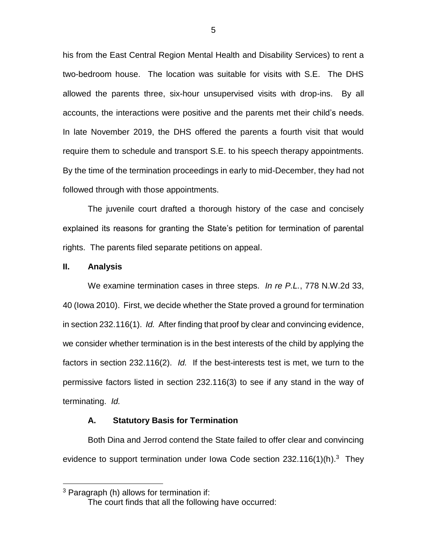his from the East Central Region Mental Health and Disability Services) to rent a two-bedroom house. The location was suitable for visits with S.E. The DHS allowed the parents three, six-hour unsupervised visits with drop-ins. By all accounts, the interactions were positive and the parents met their child's needs. In late November 2019, the DHS offered the parents a fourth visit that would require them to schedule and transport S.E. to his speech therapy appointments. By the time of the termination proceedings in early to mid-December, they had not followed through with those appointments.

The juvenile court drafted a thorough history of the case and concisely explained its reasons for granting the State's petition for termination of parental rights. The parents filed separate petitions on appeal.

### **II. Analysis**

 $\overline{a}$ 

We examine termination cases in three steps. *In re P.L.*, 778 N.W.2d 33, 40 (Iowa 2010). First, we decide whether the State proved a ground for termination in section 232.116(1). *Id.* After finding that proof by clear and convincing evidence, we consider whether termination is in the best interests of the child by applying the factors in section 232.116(2). *Id.* If the best-interests test is met, we turn to the permissive factors listed in section 232.116(3) to see if any stand in the way of terminating. *Id.*

#### **A. Statutory Basis for Termination**

Both Dina and Jerrod contend the State failed to offer clear and convincing evidence to support termination under lowa Code section  $232.116(1)(h).<sup>3</sup>$  They

<sup>3</sup> Paragraph (h) allows for termination if:

The court finds that all the following have occurred: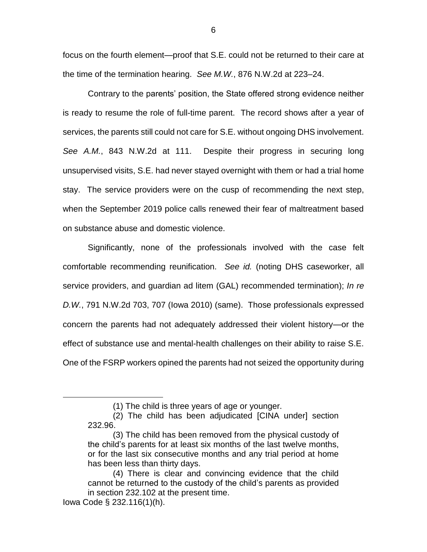focus on the fourth element—proof that S.E. could not be returned to their care at the time of the termination hearing. *See M.W.*, 876 N.W.2d at 223–24.

Contrary to the parents' position, the State offered strong evidence neither is ready to resume the role of full-time parent. The record shows after a year of services, the parents still could not care for S.E. without ongoing DHS involvement. *See A.M.*, 843 N.W.2d at 111. Despite their progress in securing long unsupervised visits, S.E. had never stayed overnight with them or had a trial home stay. The service providers were on the cusp of recommending the next step, when the September 2019 police calls renewed their fear of maltreatment based on substance abuse and domestic violence.

Significantly, none of the professionals involved with the case felt comfortable recommending reunification. *See id.* (noting DHS caseworker, all service providers, and guardian ad litem (GAL) recommended termination); *In re D.W.*, 791 N.W.2d 703, 707 (Iowa 2010) (same). Those professionals expressed concern the parents had not adequately addressed their violent history—or the effect of substance use and mental-health challenges on their ability to raise S.E. One of the FSRP workers opined the parents had not seized the opportunity during

 $\overline{a}$ 

<sup>(1)</sup> The child is three years of age or younger.

<sup>(2)</sup> The child has been adjudicated [CINA under] section 232.96.

<sup>(3)</sup> The child has been removed from the physical custody of the child's parents for at least six months of the last twelve months, or for the last six consecutive months and any trial period at home has been less than thirty days.

<sup>(4)</sup> There is clear and convincing evidence that the child cannot be returned to the custody of the child's parents as provided in section 232.102 at the present time.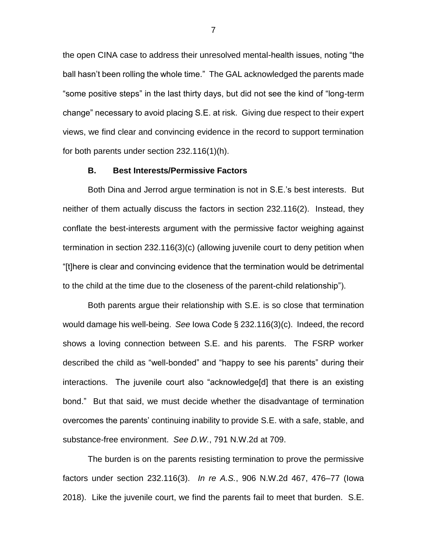the open CINA case to address their unresolved mental-health issues, noting "the ball hasn't been rolling the whole time." The GAL acknowledged the parents made "some positive steps" in the last thirty days, but did not see the kind of "long-term change" necessary to avoid placing S.E. at risk. Giving due respect to their expert views, we find clear and convincing evidence in the record to support termination for both parents under section 232.116(1)(h).

#### **B. Best Interests/Permissive Factors**

Both Dina and Jerrod argue termination is not in S.E.'s best interests. But neither of them actually discuss the factors in section 232.116(2). Instead, they conflate the best-interests argument with the permissive factor weighing against termination in section 232.116(3)(c) (allowing juvenile court to deny petition when "[t]here is clear and convincing evidence that the termination would be detrimental to the child at the time due to the closeness of the parent-child relationship").

Both parents argue their relationship with S.E. is so close that termination would damage his well-being. *See* Iowa Code § 232.116(3)(c). Indeed, the record shows a loving connection between S.E. and his parents. The FSRP worker described the child as "well-bonded" and "happy to see his parents" during their interactions. The juvenile court also "acknowledge[d] that there is an existing bond." But that said, we must decide whether the disadvantage of termination overcomes the parents' continuing inability to provide S.E. with a safe, stable, and substance-free environment. *See D.W.*, 791 N.W.2d at 709.

The burden is on the parents resisting termination to prove the permissive factors under section 232.116(3). *In re A.S.*, 906 N.W.2d 467, 476–77 (Iowa 2018). Like the juvenile court, we find the parents fail to meet that burden. S.E.